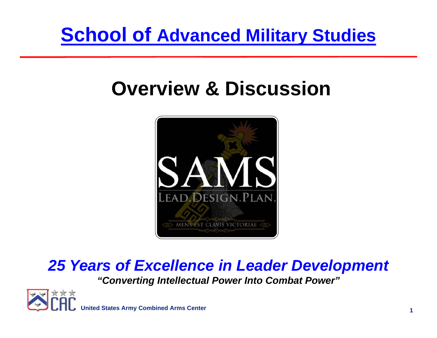## **School of Advanced Military Studies**

# **Overview & Discussion**



## *25 Years of Excellence in Leader Development*

*"Converting Intellectual Power Into Combat Power"*

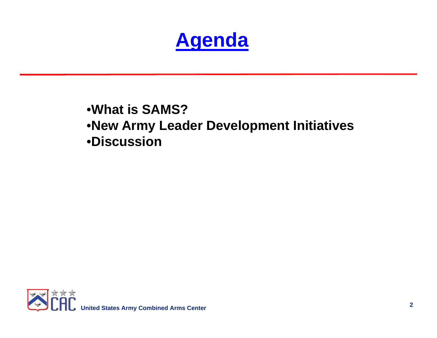

## •**What is SAMS?**•**New Army Leader Development Initiatives** •**Discussion**

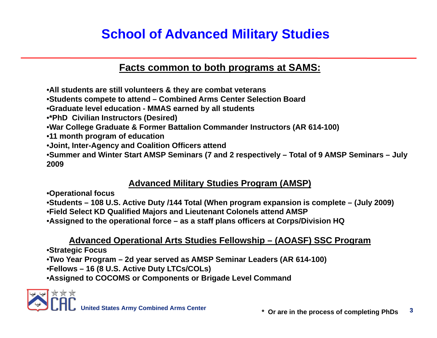## **School of Advanced Military Studies**

### **Facts common to both programs at SAMS:**

•**All students are still volunteers & they are combat veterans**

•**Students compete to attend – Combined Arms Center Selection Board**

•**Graduate level education - MMAS earned by all students**

•**\*PhD Civilian Instructors (Desired)**

•**War College Graduate & Former Battalion Commander Instructors (AR 614-100)** 

•**11 month program of education**

•**Joint, Inter-Agency and Coalition Officers attend**

•**Summer and Winter Start AMSP Seminars (7 and 2 respectively – Total of 9 AMSP Seminars – July 2009**

### **Advanced Military Studies Program (AMSP)**

•**Operational focus**

•**Students – 108 U.S. Active Duty /144 Total (When program expansion is complete – (July 2009)** •**Field Select KD Qualified Majors and Lieutenant Colonels attend AMSP**

•**Assigned to the operational force – as a staff plans officers at Corps/Division HQ** 

### **Advanced Operational Arts Studies Fellowship – (AOASF) SSC Program**

•**Strategic Focus**

•**Two Year Program – 2d year served as AMSP Seminar Leaders (AR 614-100)**

•**Fellows – 16 (8 U.S. Active Duty LTCs/COLs)**

•**Assigned to COCOMS or Components or Brigade Level Command**

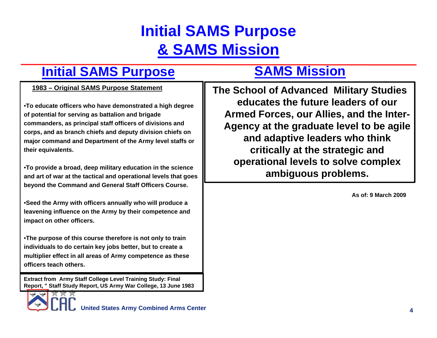## **Initial SAMS Purpose & SAMS Mission**

## **Initial SAMS Purpose**

#### **1983 – Original SAMS Purpose Statement**

•**To educate officers who have demonstrated a high degree of potential for serving as battalion and brigade commanders, as principal staff officers of divisions and corps, and as branch chiefs and deputy division chiefs on major command and Department of the Army level staffs or their equivalents.** 

•**To provide a broad, deep military education in the science and art of war at the tactical and operational levels that goes beyond the Command and General Staff Officers Course.** 

•**Seed the Army with officers annually who will produce a leavening influence on the Army by their competence and impact on other officers.**

•**The purpose of this course therefore is not only to train individuals to do certain key jobs better, but to create a multiplier effect in all areas of Army competence as these officers teach others.**

**Extract from Army Staff College Level Training Study: Final Report, " Staff Study Report, US Army War College, 13 June 1983** 

## **SAMS Mission**

**The School of Advanced Military Studies educates the future leaders of our Armed Forces, our Allies, and the Inter-Agency at the graduate level to be agile and adaptive leaders who think critically at the strategic and operational levels to solve complex ambiguous problems.**

**As of: 9 March 2009**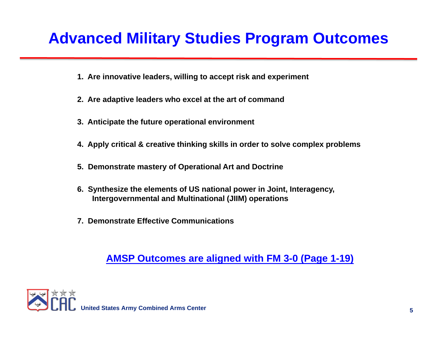## **Advanced Military Studies Program Outcomes**

- **1. Are innovative leaders, willing to accept risk and experiment**
- **2. Are adaptive leaders who excel at the art of command**
- **3. Anticipate the future operational environment**
- **4. Apply critical & creative thinking skills in order to solve complex problems**
- **5. Demonstrate mastery of Operational Art and Doctrine**
- **6. Synthesize the elements of US national power in Joint, Interagency, Intergovernmental and Multinational (JIIM) operations**
- **7. Demonstrate Effective Communications**

### **AMSP Outcomes are aligned with FM 3-0 (Page 1-19)**

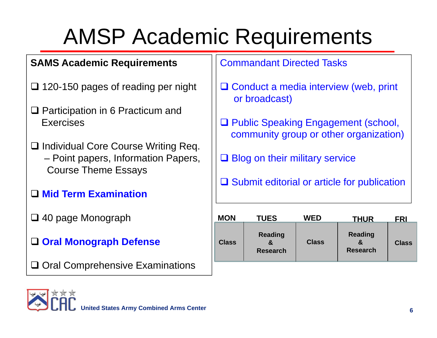# AMSP Academic Requirements

### **SAMS Academic Requirements**

- □ 120-150 pages of reading per night
- **□ Participation in 6 Practicum and Exercises**
- **□ Individual Core Course Writing Req.** – Point papers, Information Papers, Course Theme Essays
- **Mid Term Examination**
- 40 page Monograph
- **Oral Monograph Defense**
- $\square$  Oral Comprehensive Examinations

### Commandant Directed Tasks

- **□ Conduct a media interview (web, print** or broadcast)
- **□ Public Speaking Engagement (school,** community group or other organization)
- **□ Blog on their military service**
- **□** Submit editorial or article for publication

| <b>MON</b>   | <b>TUES</b>                       | <b>WED</b>   | <b>THUR</b>                       | <b>FRI</b>   |
|--------------|-----------------------------------|--------------|-----------------------------------|--------------|
| <b>Class</b> | <b>Reading</b><br><b>Research</b> | <b>Class</b> | <b>Reading</b><br><b>Research</b> | <b>Class</b> |

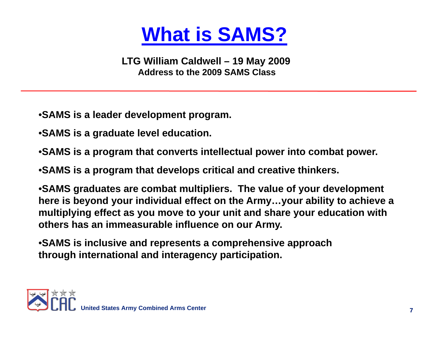# **What is SAMS?**

**LTG William Caldwell – 19 May 2009 Address to the 2009 SAMS Class**

- •**SAMS is a leader development program.**
- •**SAMS is a graduate level education.**
- •**SAMS is a program that converts intellectual power into combat power.**
- •**SAMS is a program that develops critical and creative thinkers.**

•**SAMS graduates are combat multipliers. The value of your development here is beyond your individual effect on the Army…your ability to achieve a multiplying effect as you move to your unit and share your education with others has an immeasurable influence on our Army.**

•**SAMS is inclusive and represents a comprehensive approach through international and interagency participation.**

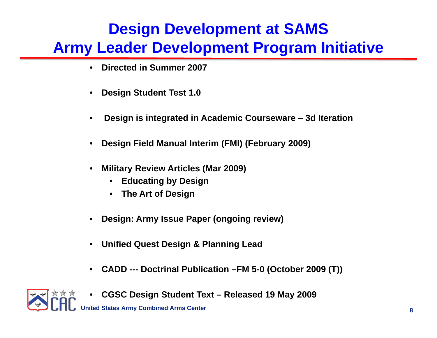## **Design Development at SAMS Army Leader Development Program Initiative**

- •**Directed in Summer 2007**
- •**Design Student Test 1.0**
- •**Design is integrated in Academic Courseware – 3d Iteration**
- •**Design Field Manual Interim (FMI) (February 2009)**
- • **Military Review Articles (Mar 2009)**
	- •**Educating by Design**
	- •**The Art of Design**
- •**Design: Army Issue Paper (ongoing review)**
- $\bullet$ **Unified Quest Design & Planning Lead**
- $\bullet$ **CADD --- Doctrinal Publication –FM 5-0 (October 2009 (T))**



•**CGSC Design Student Text – Released 19 May 2009**

**Ited States Army Combined Arms Center**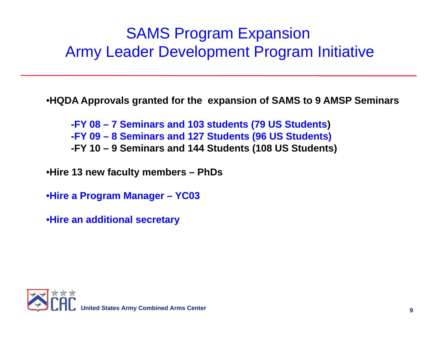## SAMS Program Expansion Army Leader Development Program Initiative

•**HQDA Approvals granted for the expansion of SAMS to 9 AMSP Seminars** 

**-FY 08 – 7 Seminars and 103 students (79 US Students) -FY 09 – 8 Seminars and 127 Students (96 US Students) -FY 10 – 9 Seminars and 144 Students (108 US Students)** 

•**Hire 13 new faculty members – PhDs**

•**Hire a Program Manager – YC03**

•**Hire an additional secretary** 

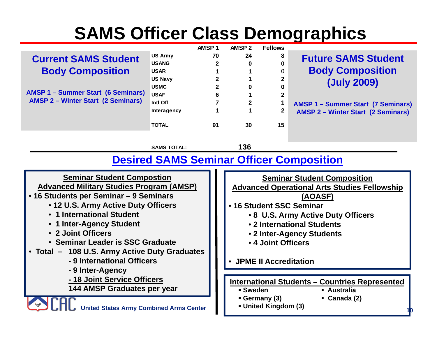# **SAMS Officer Class Demographics**

|                                                                                        |                    | AMSP <sub>1</sub> | AMSP <sub>2</sub>                                   | <b>Fellows</b>       |                                                       |  |  |
|----------------------------------------------------------------------------------------|--------------------|-------------------|-----------------------------------------------------|----------------------|-------------------------------------------------------|--|--|
| <b>Current SAMS Student</b>                                                            | <b>US Army</b>     | 70                | 24                                                  | 8                    | <b>Future SAMS Student</b>                            |  |  |
|                                                                                        | <b>USANG</b>       | 2                 | 0                                                   | 0                    |                                                       |  |  |
| <b>Body Composition</b>                                                                | <b>USAR</b>        | 1                 |                                                     | 0                    | <b>Body Composition</b>                               |  |  |
|                                                                                        | <b>US Navy</b>     | $\mathbf 2$       |                                                     | 2                    | (July 2009)                                           |  |  |
|                                                                                        | <b>USMC</b>        | $\overline{2}$    | 0                                                   | 0                    |                                                       |  |  |
| <b>AMSP 1 - Summer Start (6 Seminars)</b><br><b>AMSP 2 - Winter Start (2 Seminars)</b> | <b>USAF</b>        | 6                 |                                                     | $\mathbf 2$          |                                                       |  |  |
|                                                                                        | Intl Off           | 7                 | 2                                                   | 1                    | <b>AMSP 1 - Summer Start (7 Seminars)</b>             |  |  |
|                                                                                        | Interagency        |                   |                                                     | $\mathbf 2$          | <b>AMSP 2 - Winter Start (2 Seminars)</b>             |  |  |
|                                                                                        | <b>TOTAL</b>       | 91                | 30                                                  | 15                   |                                                       |  |  |
|                                                                                        | <b>SAMS TOTAL:</b> |                   | 136                                                 |                      |                                                       |  |  |
| <b>Desired SAMS Seminar Officer Composition</b>                                        |                    |                   |                                                     |                      |                                                       |  |  |
| <b>Seminar Student Compostion</b>                                                      |                    |                   | <b>Seminar Student Composition</b>                  |                      |                                                       |  |  |
| <b>Advanced Military Studies Program (AMSP)</b>                                        |                    |                   | <b>Advanced Operational Arts Studies Fellowship</b> |                      |                                                       |  |  |
| • 16 Students per Seminar - 9 Seminars                                                 |                    |                   | (AOASF)                                             |                      |                                                       |  |  |
| • 12 U.S. Army Active Duty Officers                                                    |                    |                   | • 16 Student SSC Seminar                            |                      |                                                       |  |  |
| • 1 International Student                                                              |                    |                   |                                                     |                      |                                                       |  |  |
|                                                                                        |                    |                   | • 8 U.S. Army Active Duty Officers                  |                      |                                                       |  |  |
| • 1 Inter-Agency Student                                                               |                    |                   | • 2 International Students                          |                      |                                                       |  |  |
| • 2 Joint Officers                                                                     |                    |                   | • 2 Inter-Agency Students                           |                      |                                                       |  |  |
| • Seminar Leader is SSC Graduate                                                       |                    |                   | • 4 Joint Officers                                  |                      |                                                       |  |  |
| • Total – 108 U.S. Army Active Duty Graduates                                          |                    |                   |                                                     |                      |                                                       |  |  |
| - 9 International Officers                                                             |                    |                   | <b>JPME II Accreditation</b><br>$\bullet$           |                      |                                                       |  |  |
| - 9 Inter-Agency                                                                       |                    |                   |                                                     |                      |                                                       |  |  |
| - 18 Joint Service Officers                                                            |                    |                   |                                                     |                      | <b>International Students - Countries Represented</b> |  |  |
| <b>144 AMSP Graduates per year</b>                                                     |                    |                   | <b>Sweden</b>                                       |                      | <b>Australia</b>                                      |  |  |
|                                                                                        |                    |                   |                                                     | Germany (3)          | Canada (2)                                            |  |  |
| <b>United States Army Combined Arms Center</b>                                         |                    |                   |                                                     | • United Kingdom (3) |                                                       |  |  |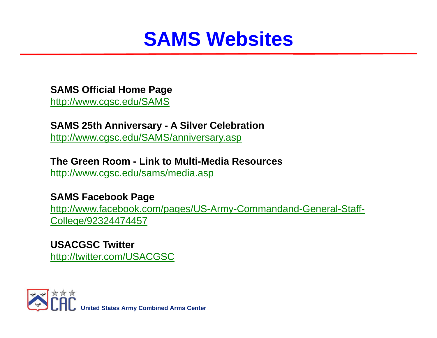## **SAMS Websites**

### **SAMS Official Home Page**

<http://www.cgsc.edu/SAMS>

### **SAMS 25th Anniversary - A Silver Celebration**

<http://www.cgsc.edu/SAMS/anniversary.asp>

### **The Green Room - Link to Multi-Media Resources**

<http://www.cgsc.edu/sams/media.asp>

### **SAMS Facebook Page**

[http://www.facebook.com/pages/US-Army-Commandand-General-Staff-](http://www.facebook.com/pages/US-Army-Commandand-General-Staff-College/92324474457)[College/92324474457](http://www.facebook.com/pages/US-Army-Commandand-General-Staff-College/92324474457)

### **USACGSC Twitter**<http://twitter.com/USACGSC>

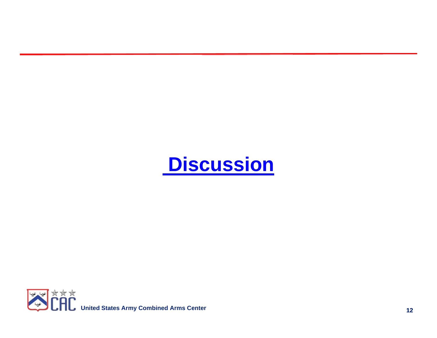